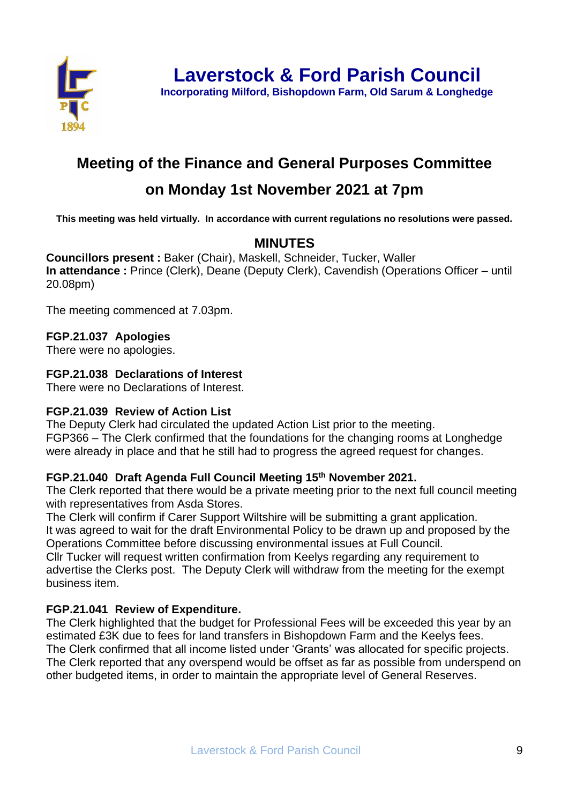

**Incorporating Milford, Bishopdown Farm, Old Sarum & Longhedge**

# **Meeting of the Finance and General Purposes Committee**

# **on Monday 1st November 2021 at 7pm**

**This meeting was held virtually. In accordance with current regulations no resolutions were passed.**

# **MINUTES**

**Councillors present :** Baker (Chair), Maskell, Schneider, Tucker, Waller **In attendance : Prince (Clerk), Deane (Deputy Clerk), Cavendish (Operations Officer – until** 20.08pm)

The meeting commenced at 7.03pm.

## **FGP.21.037 Apologies**

There were no apologies.

## **FGP.21.038 Declarations of Interest**

There were no Declarations of Interest.

#### **FGP.21.039 Review of Action List**

The Deputy Clerk had circulated the updated Action List prior to the meeting. FGP366 – The Clerk confirmed that the foundations for the changing rooms at Longhedge were already in place and that he still had to progress the agreed request for changes.

## **FGP.21.040 Draft Agenda Full Council Meeting 15th November 2021.**

The Clerk reported that there would be a private meeting prior to the next full council meeting with representatives from Asda Stores.

The Clerk will confirm if Carer Support Wiltshire will be submitting a grant application. It was agreed to wait for the draft Environmental Policy to be drawn up and proposed by the Operations Committee before discussing environmental issues at Full Council.

Cllr Tucker will request written confirmation from Keelys regarding any requirement to advertise the Clerks post. The Deputy Clerk will withdraw from the meeting for the exempt business item.

## **FGP.21.041 Review of Expenditure.**

The Clerk highlighted that the budget for Professional Fees will be exceeded this year by an estimated £3K due to fees for land transfers in Bishopdown Farm and the Keelys fees. The Clerk confirmed that all income listed under 'Grants' was allocated for specific projects. The Clerk reported that any overspend would be offset as far as possible from underspend on other budgeted items, in order to maintain the appropriate level of General Reserves.